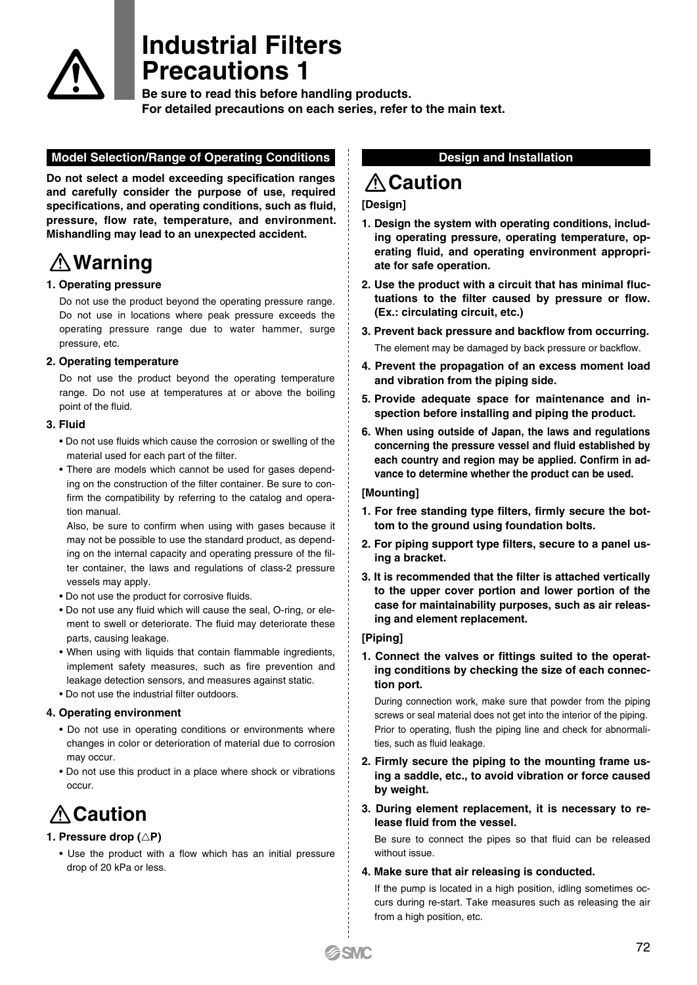

# **Industrial Filters Precautions 1**

**Be sure to read this before handling products. For detailed precautions on each series, refer to the main text.**

### **Model Selection/Range of Operating Conditions**

**Do not select a model exceeding specification ranges and carefully consider the purpose of use, required specifications, and operating conditions, such as fluid, pressure, flow rate, temperature, and environment. Mishandling may lead to an unexpected accident.**

# **Warning**

### **1. Operating pressure**

Do not use the product beyond the operating pressure range. Do not use in locations where peak pressure exceeds the operating pressure range due to water hammer, surge pressure, etc.

### **2. Operating temperature**

Do not use the product beyond the operating temperature range. Do not use at temperatures at or above the boiling point of the fluid.

### **3. Fluid**

- Do not use fluids which cause the corrosion or swelling of the material used for each part of the filter.
- There are models which cannot be used for gases depending on the construction of the filter container. Be sure to confirm the compatibility by referring to the catalog and operation manual.

Also, be sure to confirm when using with gases because it may not be possible to use the standard product, as depending on the internal capacity and operating pressure of the filter container, the laws and regulations of class-2 pressure vessels may apply.

- Do not use the product for corrosive fluids.
- Do not use any fluid which will cause the seal, O-ring, or element to swell or deteriorate. The fluid may deteriorate these parts, causing leakage.
- When using with liquids that contain flammable ingredients, implement safety measures, such as fire prevention and leakage detection sensors, and measures against static.
- Do not use the industrial filter outdoors.

### **4. Operating environment**

- Do not use in operating conditions or environments where changes in color or deterioration of material due to corrosion may occur.
- Do not use this product in a place where shock or vibrations occur.

# **Caution**

### 1. Pressure drop ( $\triangle$ P)

• Use the product with a flow which has an initial pressure drop of 20 kPa or less.

### **Design and Installation**

# **Caution**

### **[Design]**

- **1. Design the system with operating conditions, including operating pressure, operating temperature, operating fluid, and operating environment appropriate for safe operation.**
- **2. Use the product with a circuit that has minimal fluctuations to the filter caused by pressure or flow. (Ex.: circulating circuit, etc.)**
- **3. Prevent back pressure and backflow from occurring.** The element may be damaged by back pressure or backflow.
- **4. Prevent the propagation of an excess moment load and vibration from the piping side.**
- **5. Provide adequate space for maintenance and inspection before installing and piping the product.**
- **6. When using outside of Japan, the laws and regulations concerning the pressure vessel and fluid established by each country and region may be applied. Confirm in advance to determine whether the product can be used.**

### **[Mounting]**

- **1. For free standing type filters, firmly secure the bottom to the ground using foundation bolts.**
- **2. For piping support type filters, secure to a panel using a bracket.**
- **3. It is recommended that the filter is attached vertically to the upper cover portion and lower portion of the case for maintainability purposes, such as air releasing and element replacement.**

### **[Piping]**

**1. Connect the valves or fittings suited to the operating conditions by checking the size of each connection port.**

During connection work, make sure that powder from the piping screws or seal material does not get into the interior of the piping. Prior to operating, flush the piping line and check for abnormalities, such as fluid leakage.

- **2. Firmly secure the piping to the mounting frame using a saddle, etc., to avoid vibration or force caused by weight.**
- **3. During element replacement, it is necessary to release fluid from the vessel.**

Be sure to connect the pipes so that fluid can be released without issue.

### **4. Make sure that air releasing is conducted.**

If the pump is located in a high position, idling sometimes occurs during re-start. Take measures such as releasing the air from a high position, etc.